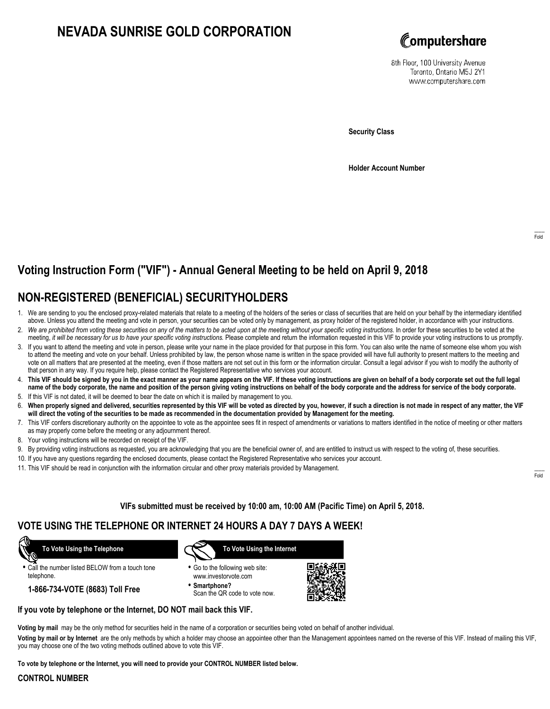# **NEVADA SUNRISE GOLD CORPORATION**



8th Floor, 100 University Avenue Toronto, Ontario M5J 2Y1 www.computershare.com

**Security Class**

**Holder Account Number**

# **Voting Instruction Form ("VIF") - Annual General Meeting to be held on April 9, 2018**

## **NON-REGISTERED (BENEFICIAL) SECURITYHOLDERS**

- 1. We are sending to you the enclosed proxy-related materials that relate to a meeting of the holders of the series or class of securities that are held on your behalf by the intermediary identified above. Unless you attend the meeting and vote in person, your securities can be voted only by management, as proxy holder of the registered holder, in accordance with your instructions.
- 2. *We are prohibited from voting these securities on any of the matters to be acted upon at the meeting without your specific voting instructions.* In order for these securities to be voted at the meeting, *it will be necessary for us to have your specific voting instructions.* Please complete and return the information requested in this VIF to provide your voting instructions to us promptly.
- 3. If you want to attend the meeting and vote in person, please write your name in the place provided for that purpose in this form. You can also write the name of someone else whom you wish to attend the meeting and vote on your behalf. Unless prohibited by law, the person whose name is written in the space provided will have full authority to present matters to the meeting and vote on all matters that are presented at the meeting, even if those matters are not set out in this form or the information circular. Consult a legal advisor if you wish to modify the authority of that person in any way. If you require help, please contact the Registered Representative who services your account.
- 4. **This VIF should be signed by you in the exact manner as your name appears on the VIF. If these voting instructions are given on behalf of a body corporate set out the full legal name of the body corporate, the name and position of the person giving voting instructions on behalf of the body corporate and the address for service of the body corporate.**
- 5. If this VIF is not dated, it will be deemed to bear the date on which it is mailed by management to you.
- 6. **When properly signed and delivered, securities represented by this VIF will be voted as directed by you, however, if such a direction is not made in respect of any matter, the VIF will direct the voting of the securities to be made as recommended in the documentation provided by Management for the meeting.**
- 7. This VIF confers discretionary authority on the appointee to vote as the appointee sees fit in respect of amendments or variations to matters identified in the notice of meeting or other matters as may properly come before the meeting or any adjournment thereof.
- 8. Your voting instructions will be recorded on receipt of the VIF.
- 9. By providing voting instructions as requested, you are acknowledging that you are the beneficial owner of, and are entitled to instruct us with respect to the voting of, these securities.
- 10. If you have any questions regarding the enclosed documents, please contact the Registered Representative who services your account.
- 11. This VIF should be read in conjunction with the information circular and other proxy materials provided by Management.

**VIFs submitted must be received by 10:00 am, 10:00 AM (Pacific Time) on April 5, 2018.**

### **VOTE USING THE TELEPHONE OR INTERNET 24 HOURS A DAY 7 DAYS A WEEK!**

 **To Vote Using the Telephone**

**•** Call the number listed BELOW from a touch tone telephone.

**1-866-734-VOTE (8683) Toll Free**



- **•** Go to the following web site: www.investorvote.com
- **• Smartphone?** Scan the QR code to vote now.



### **If you vote by telephone or the Internet, DO NOT mail back this VIF.**

**Voting by mail** may be the only method for securities held in the name of a corporation or securities being voted on behalf of another individual.

**Voting by mail or by Internet** are the only methods by which a holder may choose an appointee other than the Management appointees named on the reverse of this VIF. Instead of mailing this VIF, you may choose one of the two voting methods outlined above to vote this VIF.

**To vote by telephone or the Internet, you will need to provide your CONTROL NUMBER listed below.**

#### **CONTROL NUMBER**